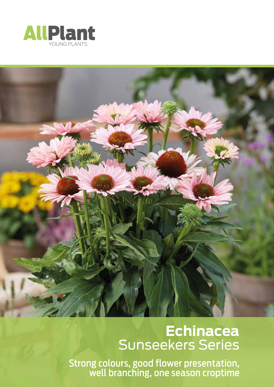



## **Echinacea** Sunseekers Series

Strong colours, good flower presentation, well branching, one season croptime